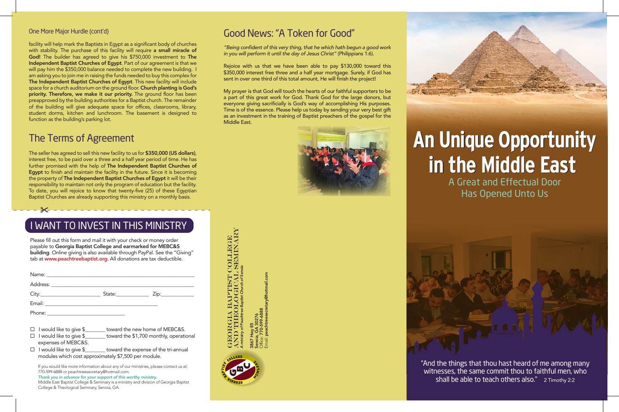## **An Unique Opportunity An Unique Opportunity in the Middle East in the Middle East**A Great and Effectual Door Has Opened Unto Us

# AND THEOLOGICAL SEMINARY **COLLEGE**<br>SEMINARY GEORGIA BAPTIST COLLEGE *A ministry of Peachtree Baptist Church of Senoia*







#### Good News: "A Token for Good"

*"Being confident of this very thing, that he which hath begun a good work in you will perform it until the day of Jesus Christ"* (Philippians 1:6).

Rejoice with us that we have been able to pay \$130,000 toward this \$350,000 interest free three and a half year mortgage. Surely, if God has sent in over one third of this total amount, He will finish the project!

Please fill out this form and mail it with your check or money order payable to Georgia Baptist College and earmarked for MEBC&S building. Online giving is also available through PayPal. See the "Giving" tab at www.peachtreebaptist.org. All donations are tax deductible.

My prayer is that God will touch the hearts of our faithful supporters to be a part of this great work for God. Thank God for the large donors, but everyone giving sacrificially is God's way of accomplishing His purposes. Time is of the essence. Please help us today by sending your very best gift as an investment in the training of Baptist preachers of the gospel for the Middle East.



- $\Box$  I would like to give  $\$\$  toward the new home of MEBC&S.
- $\Box$  I would like to give  $\frac{1}{2}$  toward the \$1,700 monthly, operational expenses of MEBC&S.
- $\square$  I would like to give \$\_\_\_\_\_\_\_ toward the expense of the tri-annual modules which cost approximately \$7,500 per module.

#### One More Major Hurdle (cont'd)

"And the things that thou hast heard of me among many witnesses, the same commit thou to faithful men, who shall be able to teach others also." 2 Timothy 2:2

facility will help mark the Baptists in Egypt as a significant body of churches with stability. The purchase of this facility will require a small miracle of God! The builder has agreed to give his \$750,000 investment to The Independent Baptist Churches of Egypt. Part of our agreement is that we will pay him the \$350,000 balance needed to complete the new building. I am asking you to join me in raising the funds needed to buy this complex for The Independent Baptist Churches of Egypt. This new facility will include space for a church auditorium on the ground floor. Church planting is God's priority. Therefore, we make it our priority. The ground floor has been preapproved by the building authorities for a Baptist church. The remainder of the building will give adequate space for offices, classrooms, library, student dorms, kitchen and lunchroom. The basement is designed to function as the building's parking lot.

#### The Terms of Agreement

The seller has agreed to sell this new facility to us for \$350,000 (US dollars), interest free, to be paid over a three and a half year period of time. He has further promised with the help of The Independent Baptist Churches of Egypt to finish and maintain the facility in the future. Since it is becoming the property of The Independent Baptist Churches of Egypt it will be their responsibility to maintain not only the program of education but the facility. To date, you will rejoice to know that twenty-five (25) of these Egyptian Baptist Churches are already supporting this ministry on a monthly basis.

### I WANT TO INVEST IN THIS MINISTRY

|                                                                                                                                                                                                                                | State: National Assembly State: | Zip:____________ |
|--------------------------------------------------------------------------------------------------------------------------------------------------------------------------------------------------------------------------------|---------------------------------|------------------|
| Email: Email: Email: Email: Email: Email: Email: Email: Email: Email: Email: Email: Email: Email: Email: Email: Email: Email: Email: Email: Email: Email: Email: Email: Email: Email: Email: Email: Email: Email: Email: Email |                                 |                  |
|                                                                                                                                                                                                                                |                                 |                  |

If you would like more information about any of our ministries, please contact us at: 770-599-6888 or peachtreesecretary@hotmail.com.

*Thank you in advance for your support of this worthy ministry.*  Middle East Baptist College & Seminary is a ministry and division of Georgia Baptist College & Theological Seminary, Senoia, GA.